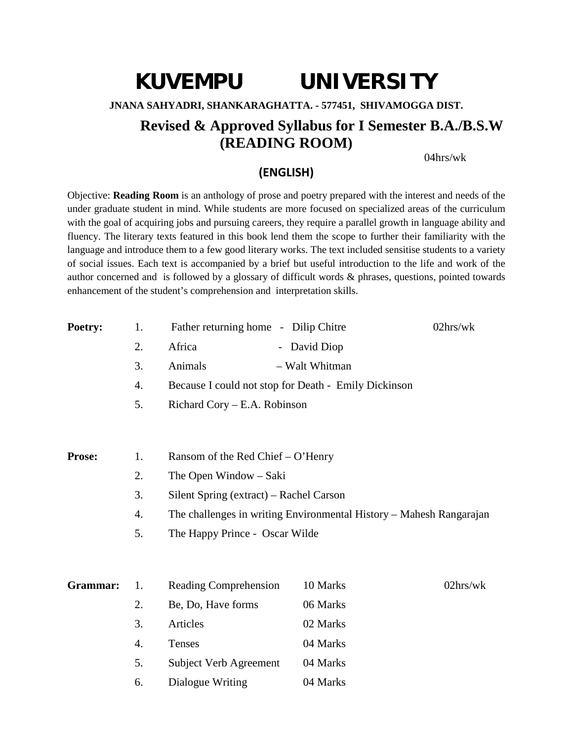# **KUVEMPU UNIVERSITY JNANA SAHYADRI, SHANKARAGHATTA. - 577451, SHIVAMOGGA DIST. Revised & Approved Syllabus for I Semester B.A./B.S.W (READING ROOM)**

04hrs/wk

### **(ENGLISH)**

Objective: **Reading Room** is an anthology of prose and poetry prepared with the interest and needs of the under graduate student in mind. While students are more focused on specialized areas of the curriculum with the goal of acquiring jobs and pursuing careers, they require a parallel growth in language ability and fluency. The literary texts featured in this book lend them the scope to further their familiarity with the language and introduce them to a few good literary works. The text included sensitise students to a variety of social issues. Each text is accompanied by a brief but useful introduction to the life and work of the author concerned and is followed by a glossary of difficult words & phrases, questions, pointed towards enhancement of the student's comprehension and interpretation skills.

| Poetry:       | 1.               | Father returning home - Dilip Chitre    |                                                                     | 02hrs/wk    |
|---------------|------------------|-----------------------------------------|---------------------------------------------------------------------|-------------|
|               | 2.               | Africa                                  | - David Diop                                                        |             |
|               | 3.               | Animals                                 | - Walt Whitman                                                      |             |
|               | $\overline{4}$ . |                                         | Because I could not stop for Death - Emily Dickinson                |             |
|               | 5.               | Richard Cory – E.A. Robinson            |                                                                     |             |
|               |                  |                                         |                                                                     |             |
| <b>Prose:</b> | 1.               | Ransom of the Red Chief – O'Henry       |                                                                     |             |
|               | 2.               | The Open Window – Saki                  |                                                                     |             |
|               | 3.               | Silent Spring (extract) – Rachel Carson |                                                                     |             |
|               | 4.               |                                         | The challenges in writing Environmental History – Mahesh Rangarajan |             |
|               | 5.               | The Happy Prince - Oscar Wilde          |                                                                     |             |
| Grammar:      | 1.               | Reading Comprehension                   | 10 Marks                                                            | $02$ hrs/wk |
|               | 2.               | Be, Do, Have forms                      | 06 Marks                                                            |             |
|               | 3.               | Articles                                | 02 Marks                                                            |             |
|               | 4.               | Tenses                                  | 04 Marks                                                            |             |
|               | 5.               | Subject Verb Agreement                  | 04 Marks                                                            |             |
|               | 6.               | Dialogue Writing                        | 04 Marks                                                            |             |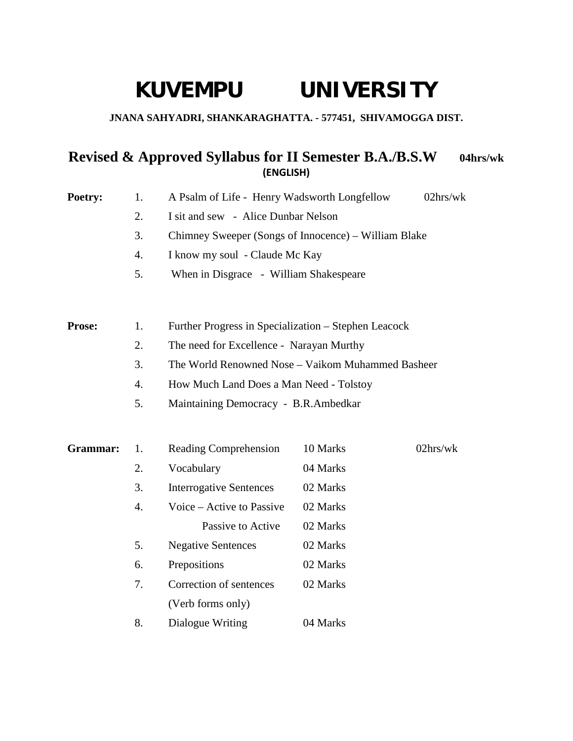# **KUVEMPU UNIVERSITY**

### **JNANA SAHYADRI, SHANKARAGHATTA. - 577451, SHIVAMOGGA DIST.**

## **Revised & Approved Syllabus for II Semester B.A./B.S.W 04hrs/wk (ENGLISH)**

| Poetry:       | 1. | A Psalm of Life - Henry Wadsworth Longfellow         |          | 02hrs/wk |
|---------------|----|------------------------------------------------------|----------|----------|
|               | 2. | I sit and sew - Alice Dunbar Nelson                  |          |          |
|               | 3. | Chimney Sweeper (Songs of Innocence) – William Blake |          |          |
|               | 4. | I know my soul - Claude Mc Kay                       |          |          |
|               | 5. | When in Disgrace - William Shakespeare               |          |          |
|               |    |                                                      |          |          |
| <b>Prose:</b> | 1. | Further Progress in Specialization – Stephen Leacock |          |          |
|               | 2. | The need for Excellence - Narayan Murthy             |          |          |
|               | 3. | The World Renowned Nose - Vaikom Muhammed Basheer    |          |          |
|               | 4. | How Much Land Does a Man Need - Tolstoy              |          |          |
|               | 5. | Maintaining Democracy - B.R.Ambedkar                 |          |          |
|               |    |                                                      |          |          |
| Grammar:      | 1. | <b>Reading Comprehension</b>                         | 10 Marks | 02hrs/wk |
|               | 2. | Vocabulary                                           | 04 Marks |          |
|               | 3. | <b>Interrogative Sentences</b>                       | 02 Marks |          |
|               | 4. | Voice – Active to Passive                            | 02 Marks |          |
|               |    | Passive to Active                                    | 02 Marks |          |
|               | 5. | <b>Negative Sentences</b>                            | 02 Marks |          |
|               | 6. | Prepositions                                         | 02 Marks |          |
|               | 7. | Correction of sentences                              | 02 Marks |          |
|               |    | (Verb forms only)                                    |          |          |
|               | 8. | Dialogue Writing                                     | 04 Marks |          |
|               |    |                                                      |          |          |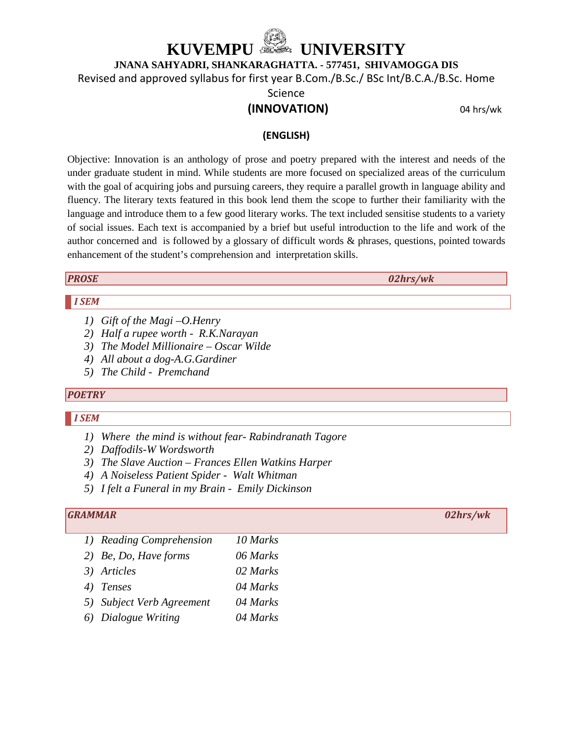# **KEMPU @@@@@@WIVERSITY**

**JNANA SAHYADRI, SHANKARAGHATTA. - 577451, SHIVAMOGGA DIS**

Revised and approved syllabus for first year B.Com./B.Sc./ BSc Int/B.C.A./B.Sc. Home

Science

### **(INNOVATION)** 04 hrs/wk

#### **(ENGLISH)**

Objective: Innovation is an anthology of prose and poetry prepared with the interest and needs of the under graduate student in mind. While students are more focused on specialized areas of the curriculum with the goal of acquiring jobs and pursuing careers, they require a parallel growth in language ability and fluency. The literary texts featured in this book lend them the scope to further their familiarity with the language and introduce them to a few good literary works. The text included sensitise students to a variety of social issues. Each text is accompanied by a brief but useful introduction to the life and work of the author concerned and is followed by a glossary of difficult words & phrases, questions, pointed towards enhancement of the student's comprehension and interpretation skills.

*PROSE 02hrs/wk*

#### *I SEM*

- *1) Gift of the Magi –O.Henry*
- *2) Half a rupee worth R.K.Narayan*
- *3) The Model Millionaire – Oscar Wilde*
- *4) All about a dog-A.G.Gardiner*
- *5) The Child Premchand*

#### *POETRY*

#### *I SEM*

- *1) Where the mind is without fear- Rabindranath Tagore*
- *2) Daffodils-W Wordsworth*
- *3) The Slave Auction – Frances Ellen Watkins Harper*
- *4) A Noiseless Patient Spider Walt Whitman*
- *5) I felt a Funeral in my Brain Emily Dickinson*

#### *GRAMMAR 02hrs/wk*

- *1) Reading Comprehension 10 Marks 2) Be, Do, Have forms 06 Marks 3) Articles 02 Marks 4) Tenses 04 Marks 5) Subject Verb Agreement 04 Marks*
- *6) Dialogue Writing 04 Marks*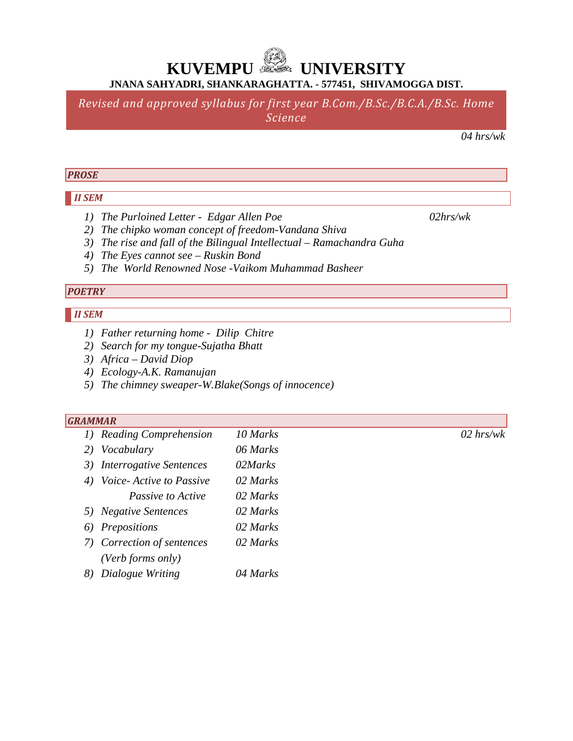*Revised and approved syllabus for first year B.Com./B.Sc./B.C.A./B.Sc. Home Science*

*04 hrs/wk*

#### *PROSE*

#### *II SEM*

- *1) The Purloined Letter Edgar Allen Poe 02hrs/wk*
- *2) The chipko woman concept of freedom-Vandana Shiva*
- *3) The rise and fall of the Bilingual Intellectual – Ramachandra Guha*
- *4) The Eyes cannot see – Ruskin Bond*
- *5) The World Renowned Nose -Vaikom Muhammad Basheer*

### *POETRY*

### *II SEM*

- *1) Father returning home Dilip Chitre*
- *2) Search for my tongue-Sujatha Bhatt*
- *3) Africa – David Diop*
- *4) Ecology-A.K. Ramanujan*
- *5) The chimney sweaper-W.Blake(Songs of innocence)*

#### *GRAMMAR*

| 1) Reading Comprehension   | 10 Marks | $02$ hrs/wk |
|----------------------------|----------|-------------|
| 2) Vocabulary              | 06 Marks |             |
| 3) Interrogative Sentences | 02Marks  |             |
| 4) Voice-Active to Passive | 02 Marks |             |
| Passive to Active          | 02 Marks |             |
| 5) Negative Sentences      | 02 Marks |             |
| 6) Prepositions            | 02 Marks |             |
| 7) Correction of sentences | 02 Marks |             |
| $(Verb \ forms \ only)$    |          |             |
| 8) Dialogue Writing        | 04 Marks |             |
|                            |          |             |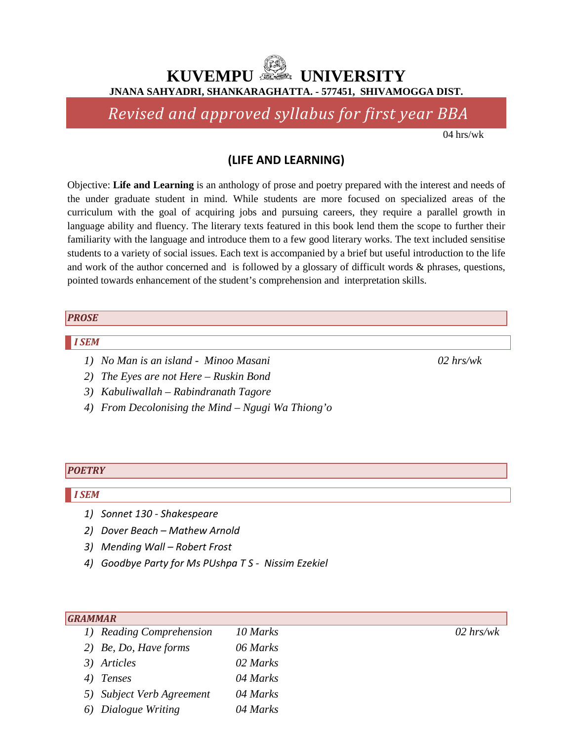*Revised and approved syllabus for first year BBA*

04 hrs/wk

### **(LIFE AND LEARNING)**

Objective: **Life and Learning** is an anthology of prose and poetry prepared with the interest and needs of the under graduate student in mind. While students are more focused on specialized areas of the curriculum with the goal of acquiring jobs and pursuing careers, they require a parallel growth in language ability and fluency. The literary texts featured in this book lend them the scope to further their familiarity with the language and introduce them to a few good literary works. The text included sensitise students to a variety of social issues. Each text is accompanied by a brief but useful introduction to the life and work of the author concerned and is followed by a glossary of difficult words & phrases, questions, pointed towards enhancement of the student's comprehension and interpretation skills.

#### *PROSE*

#### *I SEM*

- *1) No Man is an island Minoo Masani 02 hrs/wk*
- *2) The Eyes are not Here – Ruskin Bond*
- *3) Kabuliwallah – Rabindranath Tagore*
- *4) From Decolonising the Mind – Ngugi Wa Thiong'o*

#### *POETRY*

#### *I SEM*

- *1) Sonnet 130 - Shakespeare*
- *2) Dover Beach – Mathew Arnold*
- *3) Mending Wall – Robert Frost*
- *4) Goodbye Party for Ms PUshpa T S Nissim Ezekiel*

| <b>GRAMMAR</b>            |          |             |
|---------------------------|----------|-------------|
| 1) Reading Comprehension  | 10 Marks | $02$ hrs/wk |
| 2) Be, Do, Have forms     | 06 Marks |             |
| 3) Articles               | 02 Marks |             |
| 4) Tenses                 | 04 Marks |             |
| 5) Subject Verb Agreement | 04 Marks |             |
| Dialogue Writing          | 04 Marks |             |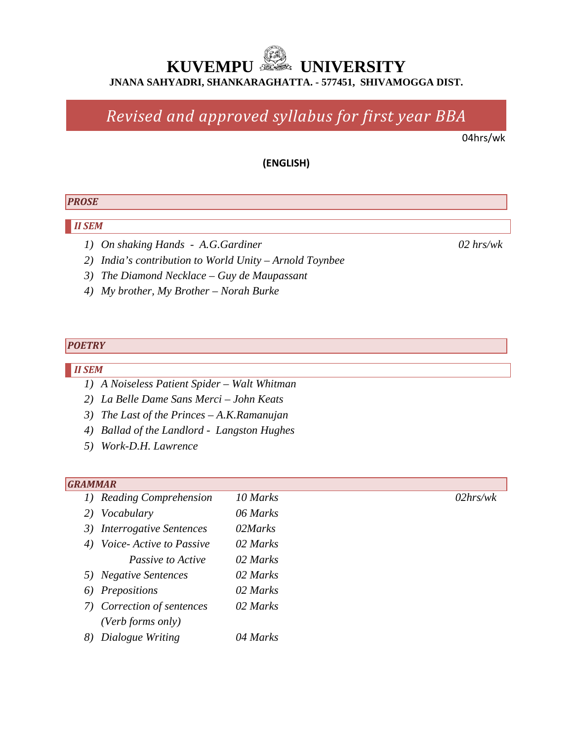# *Revised and approved syllabus for first year BBA*

04hrs/wk

#### **(ENGLISH)**

#### *PROSE*

#### *II SEM*

- *1) On shaking Hands A.G.Gardiner 02 hrs/wk*
- *2) India's contribution to World Unity – Arnold Toynbee*
- *3) The Diamond Necklace – Guy de Maupassant*
- *4) My brother, My Brother – Norah Burke*

#### *POETRY*

#### *II SEM*

- *1) A Noiseless Patient Spider – Walt Whitman*
- *2) La Belle Dame Sans Merci – John Keats*
- *3) The Last of the Princes – A.K.Ramanujan*
- *4) Ballad of the Landlord Langston Hughes*
- *5) Work-D.H. Lawrence*

#### *GRAMMAR*

*1) Reading Comprehension 10 Marks 02hrs/wk 2) Vocabulary 06 Marks 3) Interrogative Sentences 02Marks 4) Voice- Active to Passive 02 Marks Passive to Active 02 Marks 5) Negative Sentences 02 Marks 6) Prepositions 02 Marks 7) Correction of sentences 02 Marks (Verb forms only) 8) Dialogue Writing 04 Marks*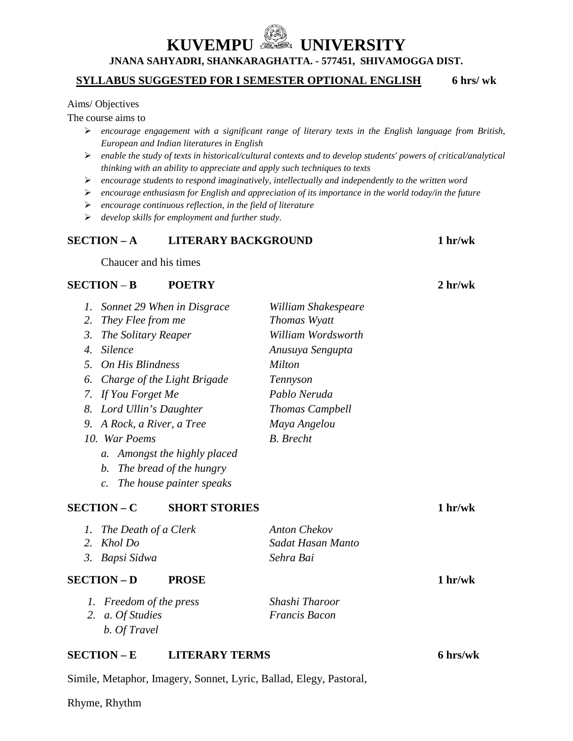#### **SYLLABUS SUGGESTED FOR I SEMESTER OPTIONAL ENGLISH 6 hrs/ wk**

#### Aims/ Objectives

The course aims to

- *encourage engagement with a significant range of literary texts in the English language from British, European and Indian literatures in English*
- *enable the study of texts in historical/cultural contexts and to develop students' powers of critical/analytical thinking with an ability to appreciate and apply such techniques to texts*
- *encourage students to respond imaginatively, intellectually and independently to the written word*
- *encourage enthusiasm for English and appreciation of its importance in the world today/in the future*
- *encourage continuous reflection, in the field of literature*
- *develop skills for employment and further study.*

#### **SECTION – A LITERARY BACKGROUND 1 hr/wk**

Chaucer and his times

#### **SECTION** – **B POETRY 2 hr/wk**

| Ι.                    | Sonnet 29 When in Disgrace                  | William Shakespeare    |                     |
|-----------------------|---------------------------------------------|------------------------|---------------------|
| 2.                    | They Flee from me                           | Thomas Wyatt           |                     |
| 3.                    | The Solitary Reaper                         | William Wordsworth     |                     |
| $\mathcal{A}_{\cdot}$ | <i>Silence</i>                              | Anusuya Sengupta       |                     |
| 5 <sub>1</sub>        | On His Blindness                            | <i>Milton</i>          |                     |
| 6.                    | Charge of the Light Brigade                 | Tennyson               |                     |
|                       | 7. If You Forget Me                         | Pablo Neruda           |                     |
| 8.                    | Lord Ullin's Daughter                       | <b>Thomas Campbell</b> |                     |
| 9.                    | A Rock, a River, a Tree                     | Maya Angelou           |                     |
|                       | 10. War Poems                               | <b>B.</b> Brecht       |                     |
|                       | Amongst the highly placed<br>$a_{\cdot}$    |                        |                     |
|                       | The bread of the hungry<br>b.               |                        |                     |
|                       | The house painter speaks<br>$\mathcal{C}$ . |                        |                     |
|                       |                                             |                        |                     |
|                       | <b>SECTION – C</b><br><b>SHORT STORIES</b>  |                        | 1 <sub>hr</sub> /wk |
| 1.                    | The Death of a Clerk                        | <b>Anton Chekov</b>    |                     |
| 2.                    | Khol Do                                     | Sadat Hasan Manto      |                     |
| 3.                    | Bapsi Sidwa                                 | Sehra Bai              |                     |
|                       | <b>SECTION – D</b><br><b>PROSE</b>          |                        | 1 hr/wk             |
| $\mathbf{I}$ .        | Freedom of the press                        | Shashi Tharoor         |                     |
| 2.                    | a. Of Studies                               | <b>Francis Bacon</b>   |                     |
|                       | b. Of Travel                                |                        |                     |

#### **SECTION – E LITERARY TERMS 6 hrs/wk**

Simile, Metaphor, Imagery, Sonnet, Lyric, Ballad, Elegy, Pastoral,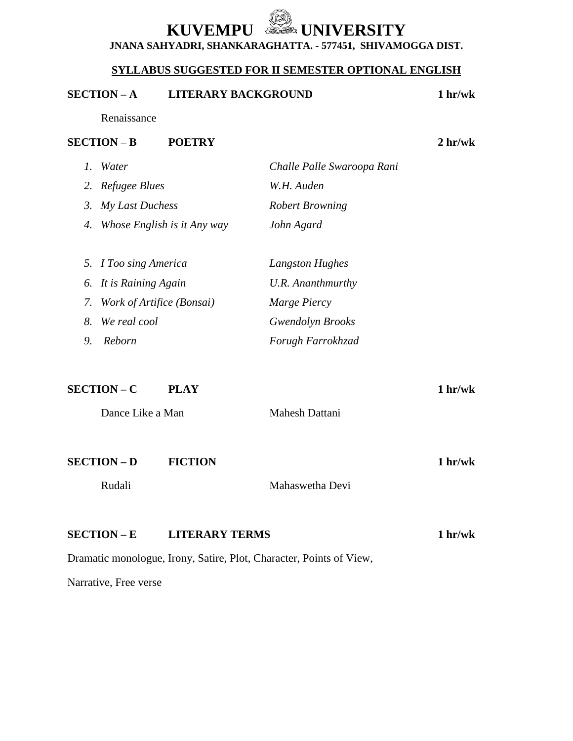### **SYLLABUS SUGGESTED FOR II SEMESTER OPTIONAL ENGLISH**

### **SECTION – A LITERARY BACKGROUND 1 hr/wk**

Renaissance

#### **SECTION** – **B POETRY 2 hr/wk**

|    | Water                       | Challe Palle Swaroopa Rani |
|----|-----------------------------|----------------------------|
|    | 2. Refugee Blues            | W.H. Auden                 |
| 3. | My Last Duchess             | <b>Robert Browning</b>     |
| 4. | Whose English is it Any way | John Agard                 |
|    |                             |                            |
|    | 5. I Too sing America       | Langston Hughes            |
|    | 6. It is Raining Again      | U.R. Ananthmurthy          |
| 7. | Work of Artifice (Bonsai)   | Marge Piercy               |
| 8. | We real cool                | <b>Gwendolyn Brooks</b>    |
| 9. | Reborn                      | Forugh Farrokhzad          |
|    |                             |                            |

**SECTION – C PLAY 1 hr/wk** Dance Like a Man Mahesh Dattani **SECTION – D FICTION 1 hr/wk** Rudali Mahaswetha Devi **SECTION – E LITERARY TERMS 1 hr/wk** Dramatic monologue, Irony, Satire, Plot, Character, Points of View,

Narrative, Free verse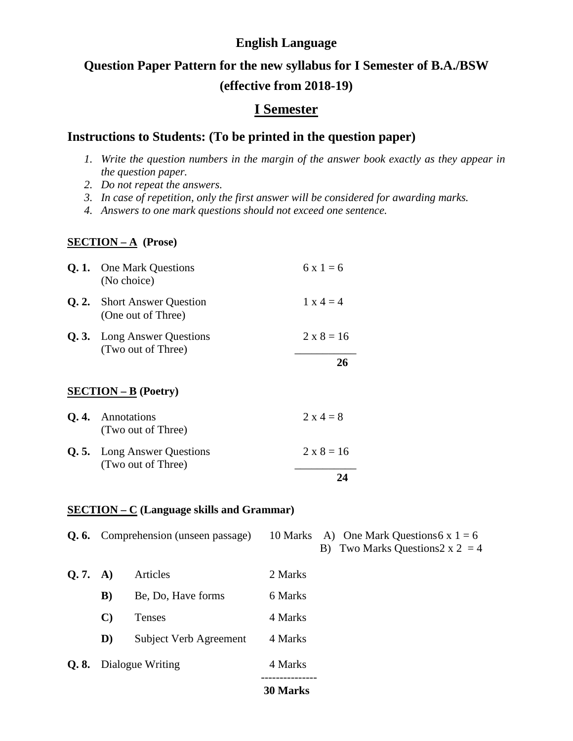# **Question Paper Pattern for the new syllabus for I Semester of B.A./BSW (effective from 2018-19)**

### **I Semester**

### **Instructions to Students: (To be printed in the question paper)**

- *1. Write the question numbers in the margin of the answer book exactly as they appear in the question paper.*
- *2. Do not repeat the answers.*
- *3. In case of repetition, only the first answer will be considered for awarding marks.*
- *4. Answers to one mark questions should not exceed one sentence.*

### **SECTION – A (Prose)**

| <b>Q. 1.</b> One Mark Questions<br>(No choice)           | $6x1=6$           |
|----------------------------------------------------------|-------------------|
| <b>Q. 2.</b> Short Answer Question<br>(One out of Three) | $1 \times 4 = 4$  |
| <b>Q. 3.</b> Long Answer Questions<br>(Two out of Three) | $2 \times 8 = 16$ |
|                                                          | 26                |
| $SECTION - B (Poetry)$                                   |                   |
| <b>Q. 4.</b> Annotations<br>(Two out of Three)           | $2 \times 4 = 8$  |
| <b>Q.5.</b> Long Answer Questions<br>(Two out of Three)  | $2 \times 8 = 16$ |
|                                                          | 24                |

#### **SECTION – C (Language skills and Grammar)**

|       |                  | <b>Q. 6.</b> Comprehension (unseen passage) | 10 Marks        | A) One Mark Questions 6 x $1 = 6$<br>B) Two Marks Questions $2 \times 2 = 4$ |
|-------|------------------|---------------------------------------------|-----------------|------------------------------------------------------------------------------|
| Q.7.  | A)               | Articles                                    | 2 Marks         |                                                                              |
|       | $\bf{B}$         | Be, Do, Have forms                          | 6 Marks         |                                                                              |
|       | $\mathbf{C}$     | <b>Tenses</b>                               | 4 Marks         |                                                                              |
|       | D)               | Subject Verb Agreement                      | 4 Marks         |                                                                              |
| Q. 8. | Dialogue Writing |                                             | 4 Marks         |                                                                              |
|       |                  |                                             | <b>30 Marks</b> |                                                                              |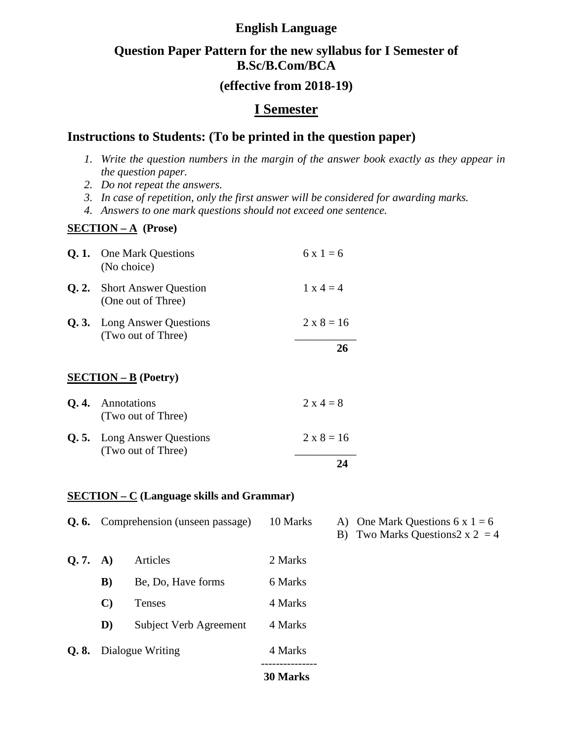### **Question Paper Pattern for the new syllabus for I Semester of B.Sc/B.Com/BCA**

### **(effective from 2018-19)**

### **I Semester**

### **Instructions to Students: (To be printed in the question paper)**

- *1. Write the question numbers in the margin of the answer book exactly as they appear in the question paper.*
- *2. Do not repeat the answers.*
- *3. In case of repetition, only the first answer will be considered for awarding marks.*
- *4. Answers to one mark questions should not exceed one sentence.*

### **SECTION – A (Prose)**

| <b>Q. 1.</b> One Mark Questions<br>(No choice)           | $6x1=6$           |
|----------------------------------------------------------|-------------------|
| <b>Q. 2.</b> Short Answer Question<br>(One out of Three) | $1 \times 4 = 4$  |
| <b>Q. 3.</b> Long Answer Questions<br>(Two out of Three) | $2 \times 8 = 16$ |
|                                                          | 26                |
| $SECTION - B (Poetry)$                                   |                   |
| <b>Q. 4.</b> Annotations<br>(Two out of Three)           | $2 \times 4 = 8$  |
| <b>Q.5.</b> Long Answer Questions<br>(Two out of Three)  | $2 \times 8 = 16$ |

### **24**

### **SECTION – C (Language skills and Grammar)**

|         |              |                                             | <b>30 Marks</b> |
|---------|--------------|---------------------------------------------|-----------------|
| Q.8.    |              | Dialogue Writing                            | 4 Marks         |
|         | D)           | Subject Verb Agreement                      | 4 Marks         |
|         | $\mathbf{C}$ | <b>Tenses</b>                               | 4 Marks         |
|         | B)           | Be, Do, Have forms                          | 6 Marks         |
| Q.7. A) |              | Articles                                    | 2 Marks         |
|         |              | <b>Q. 6.</b> Comprehension (unseen passage) | 10 Marks        |

A) One Mark Questions  $6 \times 1 = 6$ 

B) Two Marks Questions  $2 \times 2 = 4$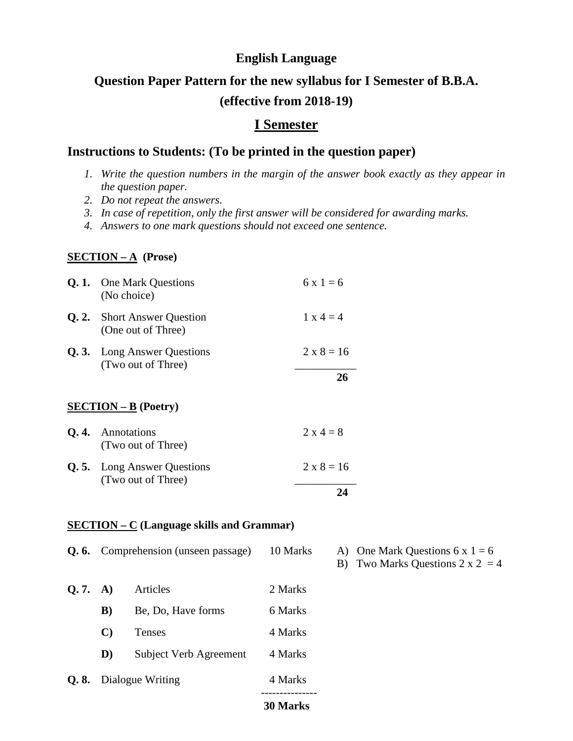# **Question Paper Pattern for the new syllabus for I Semester of B.B.A. (effective from 2018-19)**

### **I Semester**

### **Instructions to Students: (To be printed in the question paper)**

- *1. Write the question numbers in the margin of the answer book exactly as they appear in the question paper.*
- *2. Do not repeat the answers.*
- *3. In case of repetition, only the first answer will be considered for awarding marks.*
- *4. Answers to one mark questions should not exceed one sentence.*

#### **SECTION – A (Prose)**

|      | <b>Q. 1.</b> One Mark Questions<br>(No choice)           | $6x1=6$           |
|------|----------------------------------------------------------|-------------------|
| Q.2. | <b>Short Answer Question</b><br>(One out of Three)       | $1 \times 4 = 4$  |
|      | <b>Q. 3.</b> Long Answer Questions<br>(Two out of Three) | $2 \times 8 = 16$ |
|      |                                                          | 26                |
|      | $SECTION - B (Poetry)$                                   |                   |
| Q.4. | Annotations                                              | $2 \times 4 = 8$  |

| (Two out of Three)                                      |                   |
|---------------------------------------------------------|-------------------|
| <b>Q.5.</b> Long Answer Questions<br>(Two out of Three) | $2 \times 8 = 16$ |
|                                                         |                   |

#### **SECTION – C (Language skills and Grammar)**

|         |    | <b>Q. 6.</b> Comprehension (unseen passage) | 10 Marks | A) One Mark Questions $6x1 = 6$<br>B) Two Marks Questions $2 \times 2 = 4$ |
|---------|----|---------------------------------------------|----------|----------------------------------------------------------------------------|
| Q.7. A) |    | Articles                                    | 2 Marks  |                                                                            |
|         | B) | Be, Do, Have forms                          | 6 Marks  |                                                                            |
|         |    | Tenses                                      | 4 Marks  |                                                                            |

- **D)** Subject Verb Agreement 4 Marks
- **Q. 8.** Dialogue Writing 4 Marks

#### --------------- **30 Marks**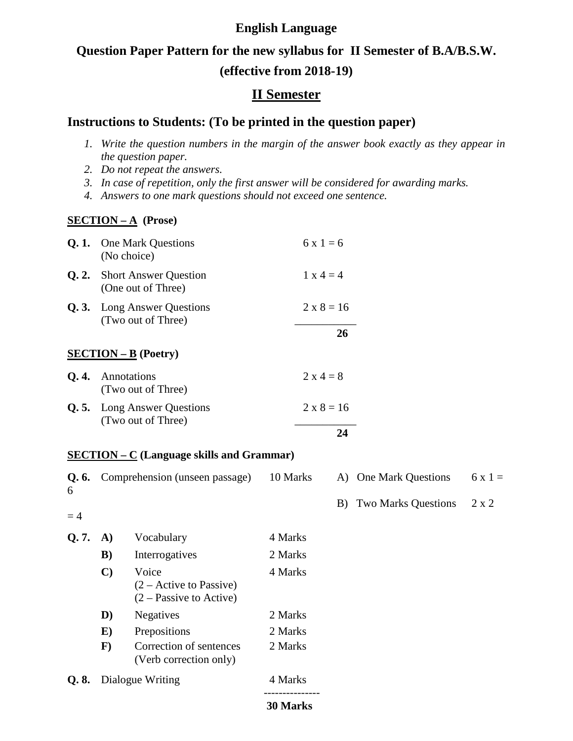# **Question Paper Pattern for the new syllabus for II Semester of B.A/B.S.W. (effective from 2018-19)**

## **II Semester**

### **Instructions to Students: (To be printed in the question paper)**

- *1. Write the question numbers in the margin of the answer book exactly as they appear in the question paper.*
- *2. Do not repeat the answers.*
- *3. In case of repetition, only the first answer will be considered for awarding marks.*
- *4. Answers to one mark questions should not exceed one sentence.*

### **SECTION – A (Prose)**

| Q.1.       |              | <b>One Mark Questions</b><br>(No choice)                               |          | $6x1=6$          |    |                            |              |
|------------|--------------|------------------------------------------------------------------------|----------|------------------|----|----------------------------|--------------|
| Q.2.       |              | <b>Short Answer Question</b><br>(One out of Three)                     |          | $1 x 4 = 4$      |    |                            |              |
| Q.3.       |              | <b>Long Answer Questions</b><br>(Two out of Three)                     |          | $2 x 8 = 16$     |    |                            |              |
|            |              |                                                                        |          |                  | 26 |                            |              |
|            |              | $SECTION - B (Poetry)$                                                 |          |                  |    |                            |              |
| Q.4.       |              | Annotations<br>(Two out of Three)                                      |          | $2 \times 4 = 8$ |    |                            |              |
| Q.5.       |              | Long Answer Questions<br>(Two out of Three)                            |          | $2 x 8 = 16$     |    |                            |              |
|            |              |                                                                        |          |                  | 24 |                            |              |
|            |              | $SECTION - C$ (Language skills and Grammar)                            |          |                  |    |                            |              |
| Q. 6.<br>6 |              | Comprehension (unseen passage)                                         | 10 Marks |                  |    | A) One Mark Questions      | $6x1=$       |
| $=4$       |              |                                                                        |          |                  | B) | <b>Two Marks Questions</b> | $2 \times 2$ |
| Q.7.       | A)           | Vocabulary                                                             | 4 Marks  |                  |    |                            |              |
|            | B)           | Interrogatives                                                         | 2 Marks  |                  |    |                            |              |
|            | $\mathbf{C}$ | Voice<br>$(2 - Active to Passive)$<br>$(2 - \text{Passive to Active})$ | 4 Marks  |                  |    |                            |              |
|            | D)           | Negatives                                                              | 2 Marks  |                  |    |                            |              |
|            | $\bf{E})$    | Prepositions                                                           | 2 Marks  |                  |    |                            |              |
|            | $\mathbf{F}$ | Correction of sentences<br>(Verb correction only)                      | 2 Marks  |                  |    |                            |              |
| Q. 8.      |              | Dialogue Writing                                                       | 4 Marks  |                  |    |                            |              |
|            |              |                                                                        | 30 Marks |                  |    |                            |              |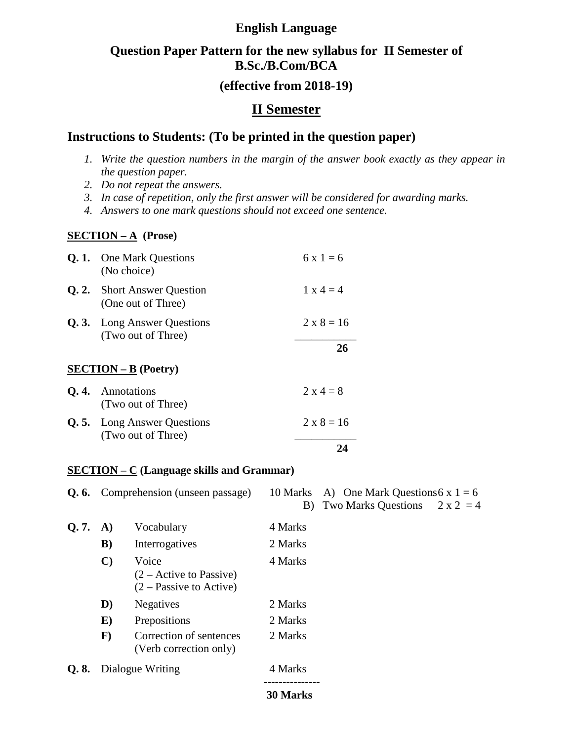## **Question Paper Pattern for the new syllabus for II Semester of B.Sc./B.Com/BCA**

### **(effective from 2018-19)**

### **II Semester**

### **Instructions to Students: (To be printed in the question paper)**

- *1. Write the question numbers in the margin of the answer book exactly as they appear in the question paper.*
- *2. Do not repeat the answers.*
- *3. In case of repetition, only the first answer will be considered for awarding marks.*
- *4. Answers to one mark questions should not exceed one sentence.*

### **SECTION – A (Prose)**

| <b>Q. 1.</b> One Mark Questions<br>(No choice)           | $6x1=6$           |
|----------------------------------------------------------|-------------------|
| <b>Q. 2.</b> Short Answer Question<br>(One out of Three) | $1 \times 4 = 4$  |
| <b>Q. 3.</b> Long Answer Questions<br>(Two out of Three) | $2 \times 8 = 16$ |
|                                                          | 26                |
| $SECTION - B (Poetry)$                                   |                   |
| <b>Q. 4.</b> Annotations<br>(Two out of Three)           | $2 \times 4 = 8$  |
| <b>Q.5.</b> Long Answer Questions<br>(Two out of Three)  | $2 \times 8 = 16$ |
|                                                          |                   |

### **SECTION – C (Language skills and Grammar)**

|       | <b>Q. 6.</b> Comprehension (unseen passage) |                                                                 | 10 Marks   | A) One Mark Questions 6 x $1 = 6$ |             |  |
|-------|---------------------------------------------|-----------------------------------------------------------------|------------|-----------------------------------|-------------|--|
|       |                                             |                                                                 | B)         | <b>Two Marks Questions</b>        | $2 x 2 = 4$ |  |
| Q.7.  | A)                                          | Vocabulary                                                      | 4 Marks    |                                   |             |  |
|       | $\bf{B}$                                    | Interrogatives                                                  | 2 Marks    |                                   |             |  |
|       | $\mathbf{C}$                                | Voice<br>$(2 - Active to Passive)$<br>$(2 - Passive to Active)$ | 4 Marks    |                                   |             |  |
|       | D)                                          | <b>Negatives</b>                                                | 2 Marks    |                                   |             |  |
|       | $\bf E)$                                    | Prepositions                                                    | 2 Marks    |                                   |             |  |
|       | $\mathbf{F}$                                | Correction of sentences<br>(Verb correction only)               | 2 Marks    |                                   |             |  |
| Q. 8. | Dialogue Writing                            |                                                                 | 4 Marks    |                                   |             |  |
|       |                                             |                                                                 | $20$ Morks |                                   |             |  |

#### **30 Marks**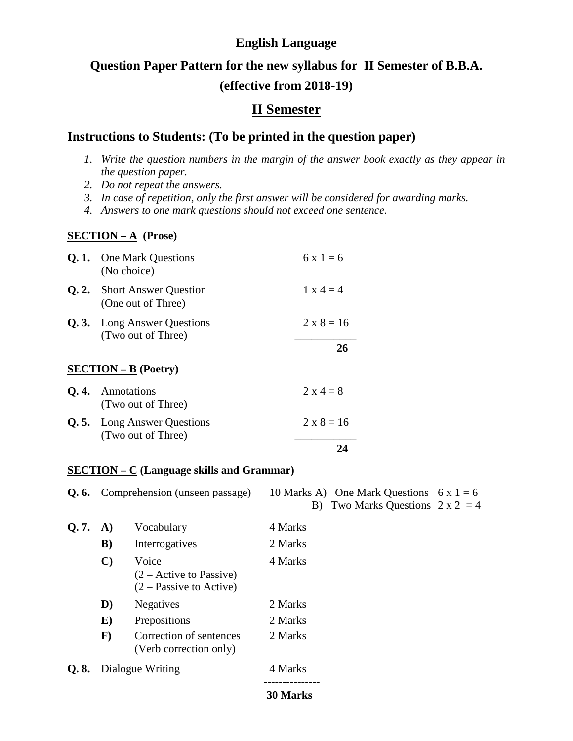# **Question Paper Pattern for the new syllabus for II Semester of B.B.A. (effective from 2018-19)**

### **II Semester**

### **Instructions to Students: (To be printed in the question paper)**

- *1. Write the question numbers in the margin of the answer book exactly as they appear in the question paper.*
- *2. Do not repeat the answers.*
- *3. In case of repetition, only the first answer will be considered for awarding marks.*
- *4. Answers to one mark questions should not exceed one sentence.*

### **SECTION – A (Prose)**

| <b>Q. 1.</b> One Mark Questions<br>(No choice)           | $6x1=6$           |
|----------------------------------------------------------|-------------------|
| <b>Q. 2.</b> Short Answer Question<br>(One out of Three) | $1 \times 4 = 4$  |
| <b>Q. 3.</b> Long Answer Questions<br>(Two out of Three) | $2 \times 8 = 16$ |
|                                                          | 26                |
| $SECTION - B (Poetry)$                                   |                   |
| <b>Q. 4.</b> Annotations<br>(Two out of Three)           | $2 \times 4 = 8$  |
| <b>Q.5.</b> Long Answer Questions<br>(Two out of Three)  | $2 \times 8 = 16$ |
|                                                          |                   |

#### **SECTION – C (Language skills and Grammar)**

|       |              | <b>Q. 6.</b> Comprehension (unseen passage)                     | 10 Marks A) One Mark Questions $6x1 = 6$<br>B) Two Marks Questions $2 \times 2 = 4$ |  |
|-------|--------------|-----------------------------------------------------------------|-------------------------------------------------------------------------------------|--|
| Q.7.  | A)           | Vocabulary                                                      | 4 Marks                                                                             |  |
|       | $\bf{B}$     | Interrogatives                                                  | 2 Marks                                                                             |  |
|       | $\mathbf{C}$ | Voice<br>$(2 - Active to Passive)$<br>$(2 - Passive to Active)$ | 4 Marks                                                                             |  |
|       | D)           | <b>Negatives</b>                                                | 2 Marks                                                                             |  |
|       | $\bf{E})$    | Prepositions                                                    | 2 Marks                                                                             |  |
|       | $\mathbf{F}$ | Correction of sentences<br>(Verb correction only)               | 2 Marks                                                                             |  |
| Q. 8. |              | Dialogue Writing                                                | 4 Marks                                                                             |  |
|       |              |                                                                 |                                                                                     |  |

#### **30 Marks**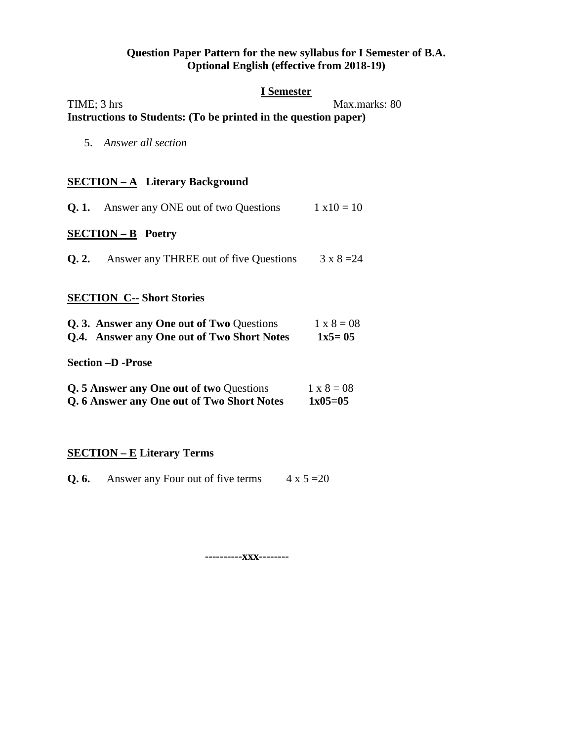#### **Question Paper Pattern for the new syllabus for I Semester of B.A. Optional English (effective from 2018-19)**

#### **I Semester**

#### TIME; 3 hrs Max.marks: 80 **Instructions to Students: (To be printed in the question paper)**

5. *Answer all section*

### **SECTION – A Literary Background**

| <b>Q. 1.</b> Answer any ONE out of two Questions    | $1 \times 10 = 10$ |
|-----------------------------------------------------|--------------------|
| <b>SECTION – B</b> Poetry                           |                    |
| <b>Q. 2.</b> Answer any THREE out of five Questions | $3 \times 8 = 24$  |

### **SECTION C-- Short Stories**

| Q. 3. Answer any One out of Two Questions  | $1 \times 8 = 08$ |
|--------------------------------------------|-------------------|
| Q.4. Answer any One out of Two Short Notes | $1x5 = 05$        |

**Section –D -Prose**

| Q. 5 Answer any One out of two Questions   | $1 \times 8 = 08$ |
|--------------------------------------------|-------------------|
| Q. 6 Answer any One out of Two Short Notes | $1x05=05$         |

### **SECTION – E Literary Terms**

**Q. 6.** Answer any Four out of five terms  $4 \times 5 = 20$ 

**----------xxx--------**